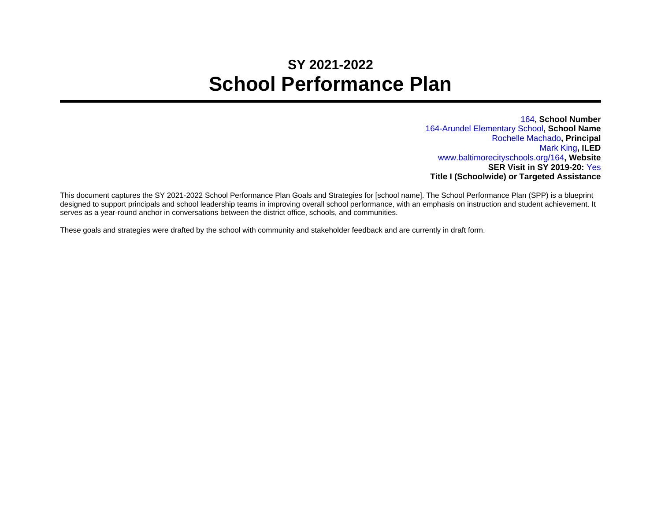## **SY 2021-2022 School Performance Plan**

164**, School Number** 164-Arundel Elementary School**, School Name** Rochelle Machado**, Principal** Mark King**, ILED** www.baltimorecityschools.org/164**, Website SER Visit in SY 2019-20:** Yes **Title I (Schoolwide) or Targeted Assistance**

This document captures the SY 2021-2022 School Performance Plan Goals and Strategies for [school name]. The School Performance Plan (SPP) is a blueprint designed to support principals and school leadership teams in improving overall school performance, with an emphasis on instruction and student achievement. It serves as a year-round anchor in conversations between the district office, schools, and communities.

These goals and strategies were drafted by the school with community and stakeholder feedback and are currently in draft form.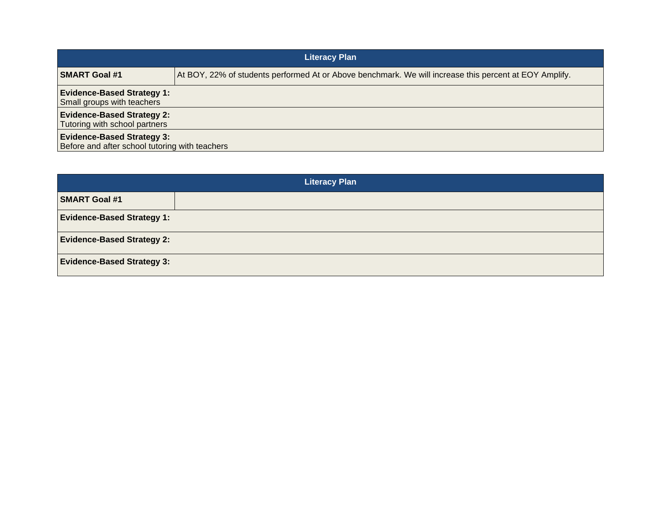| <b>Literacy Plan</b>                                                                |                                                                                                        |
|-------------------------------------------------------------------------------------|--------------------------------------------------------------------------------------------------------|
| <b>SMART Goal #1</b>                                                                | At BOY, 22% of students performed At or Above benchmark. We will increase this percent at EOY Amplify. |
| <b>Evidence-Based Strategy 1:</b><br>Small groups with teachers                     |                                                                                                        |
| <b>Evidence-Based Strategy 2:</b><br>Tutoring with school partners                  |                                                                                                        |
| <b>Evidence-Based Strategy 3:</b><br>Before and after school tutoring with teachers |                                                                                                        |

| <b>Literacy Plan</b>              |  |
|-----------------------------------|--|
| <b>SMART Goal #1</b>              |  |
| <b>Evidence-Based Strategy 1:</b> |  |
| <b>Evidence-Based Strategy 2:</b> |  |
| <b>Evidence-Based Strategy 3:</b> |  |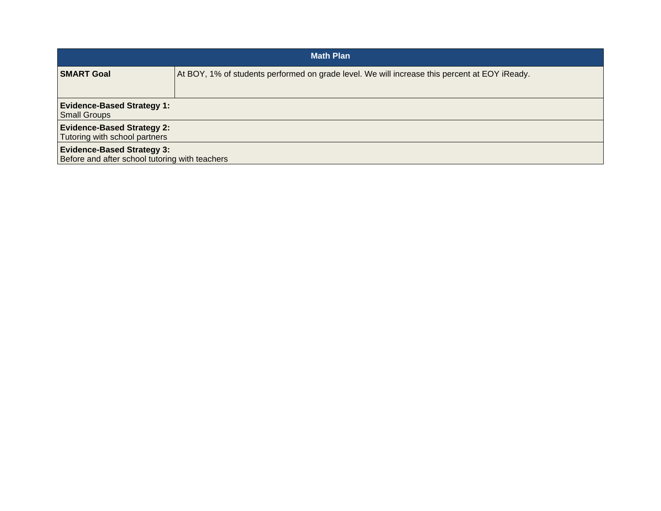| <b>Math Plan</b>                                                                    |                                                                                               |
|-------------------------------------------------------------------------------------|-----------------------------------------------------------------------------------------------|
| <b>SMART Goal</b>                                                                   | At BOY, 1% of students performed on grade level. We will increase this percent at EOY iReady. |
| <b>Evidence-Based Strategy 1:</b><br><b>Small Groups</b>                            |                                                                                               |
| <b>Evidence-Based Strategy 2:</b><br>Tutoring with school partners                  |                                                                                               |
| <b>Evidence-Based Strategy 3:</b><br>Before and after school tutoring with teachers |                                                                                               |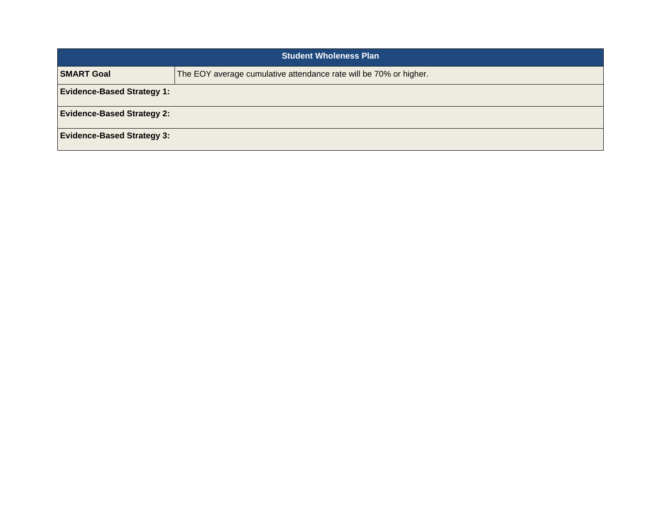| <b>Student Wholeness Plan</b>     |                                                                   |
|-----------------------------------|-------------------------------------------------------------------|
| <b>SMART Goal</b>                 | The EOY average cumulative attendance rate will be 70% or higher. |
| <b>Evidence-Based Strategy 1:</b> |                                                                   |
| <b>Evidence-Based Strategy 2:</b> |                                                                   |
| <b>Evidence-Based Strategy 3:</b> |                                                                   |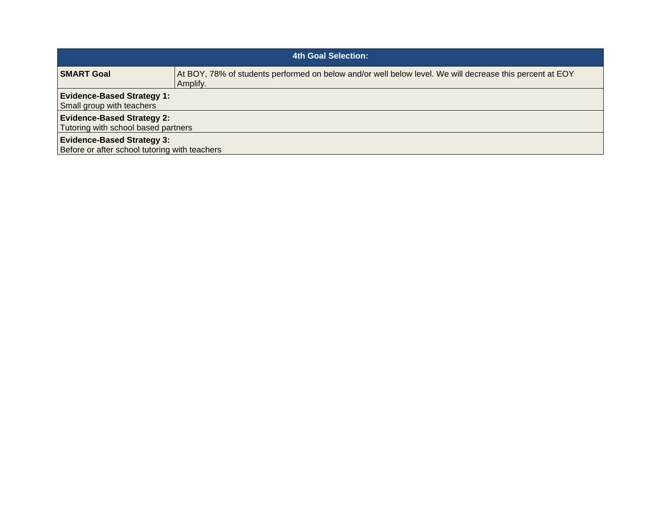| 4th Goal Selection:                                                                |                                                                                                                      |  |
|------------------------------------------------------------------------------------|----------------------------------------------------------------------------------------------------------------------|--|
| <b>SMART Goal</b>                                                                  | At BOY, 78% of students performed on below and/or well below level. We will decrease this percent at EOY<br>Amplify. |  |
| <b>Evidence-Based Strategy 1:</b><br>Small group with teachers                     |                                                                                                                      |  |
| <b>Evidence-Based Strategy 2:</b><br>Tutoring with school based partners           |                                                                                                                      |  |
| <b>Evidence-Based Strategy 3:</b><br>Before or after school tutoring with teachers |                                                                                                                      |  |